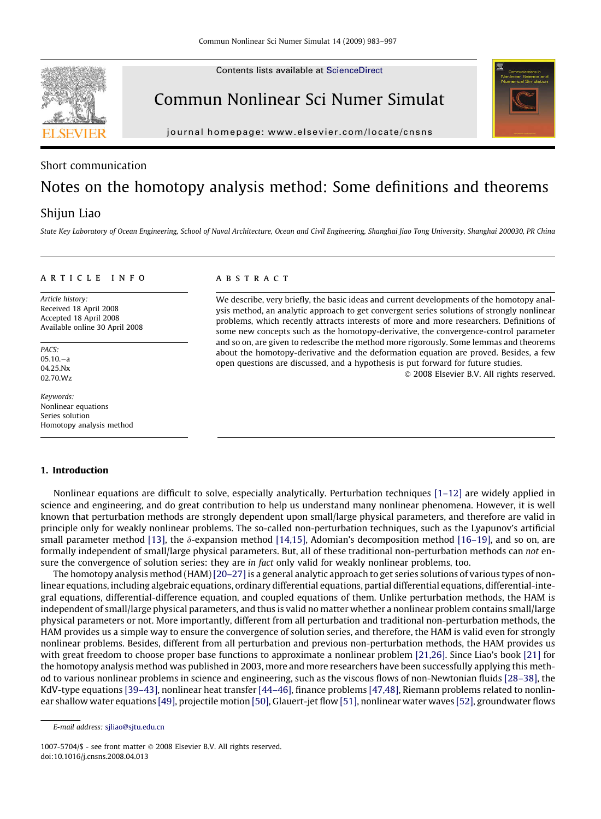Contents lists available at [ScienceDirect](http://www.sciencedirect.com/science/journal/10075704)

# Commun Nonlinear Sci Numer Simulat

journal homepage: [www.elsevier.com/locate/cnsns](http://www.elsevier.com/locate/cnsns)

# Short communication

# Notes on the homotopy analysis method: Some definitions and theorems

# Shijun Liao

State Key Laboratory of Ocean Engineering, School of Naval Architecture, Ocean and Civil Engineering, Shanghai Jiao Tong University, Shanghai 200030, PR China

#### article info

Article history: Received 18 April 2008 Accepted 18 April 2008 Available online 30 April 2008

PACS: 05.10.-a 04.25.Nx 02.70.Wz

Keywords: Nonlinear equations Series solution Homotopy analysis method

#### 1. Introduction

# A B S T R A C T

We describe, very briefly, the basic ideas and current developments of the homotopy analysis method, an analytic approach to get convergent series solutions of strongly nonlinear problems, which recently attracts interests of more and more researchers. Definitions of some new concepts such as the homotopy-derivative, the convergence-control parameter and so on, are given to redescribe the method more rigorously. Some lemmas and theorems about the homotopy-derivative and the deformation equation are proved. Besides, a few open questions are discussed, and a hypothesis is put forward for future studies.

- 2008 Elsevier B.V. All rights reserved.

Nonlinear equations are difficult to solve, especially analytically. Perturbation techniques [\[1–12\]](#page-13-0) are widely applied in science and engineering, and do great contribution to help us understand many nonlinear phenomena. However, it is well known that perturbation methods are strongly dependent upon small/large physical parameters, and therefore are valid in principle only for weakly nonlinear problems. The so-called non-perturbation techniques, such as the Lyapunov's artificial small parameter method [\[13\],](#page-13-0) the  $\delta$ -expansion method [\[14,15\],](#page-13-0) Adomian's decomposition method [\[16–19\]](#page-13-0), and so on, are formally independent of small/large physical parameters. But, all of these traditional non-perturbation methods can not ensure the convergence of solution series: they are in fact only valid for weakly nonlinear problems, too.

The homotopy analysis method (HAM)[20-27] is a general analytic approach to get series solutions of various types of nonlinear equations, including algebraic equations, ordinary differential equations, partial differential equations, differential-integral equations, differential-difference equation, and coupled equations of them. Unlike perturbation methods, the HAM is independent of small/large physical parameters, and thus is valid no matter whether a nonlinear problem contains small/large physical parameters or not. More importantly, different from all perturbation and traditional non-perturbation methods, the HAM provides us a simple way to ensure the convergence of solution series, and therefore, the HAM is valid even for strongly nonlinear problems. Besides, different from all perturbation and previous non-perturbation methods, the HAM provides us with great freedom to choose proper base functions to approximate a nonlinear problem [\[21,26\]](#page-13-0). Since Liao's book [\[21\]](#page-13-0) for the homotopy analysis method was published in 2003, more and more researchers have been successfully applying this method to various nonlinear problems in science and engineering, such as the viscous flows of non-Newtonian fluids [\[28–38\],](#page-13-0) the KdV-type equations [\[39–43\],](#page-13-0) nonlinear heat transfer [\[44–46\]](#page-13-0), finance problems [\[47,48\]](#page-13-0), Riemann problems related to nonlinear shallow water equations [\[49\],](#page-13-0) projectile motion [\[50\],](#page-14-0) Glauert-jet flow [\[51\],](#page-14-0) nonlinear water waves [\[52\],](#page-14-0) groundwater flows

1007-5704/\$ - see front matter © 2008 Elsevier B.V. All rights reserved. doi:10.1016/j.cnsns.2008.04.013





E-mail address: [sjliao@sjtu.edu.cn](mailto:sjliao@sjtu.edu.cn)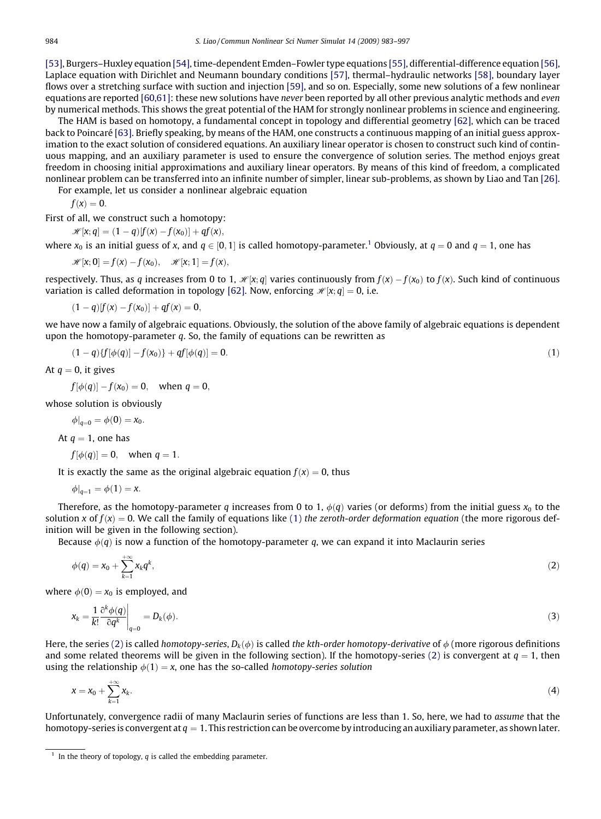<span id="page-1-0"></span>[\[53\],](#page-14-0) Burgers–Huxley equation [\[54\]](#page-14-0), time-dependent Emden–Fowler type equations [\[55\],](#page-14-0) differential-difference equation [\[56\],](#page-14-0) Laplace equation with Dirichlet and Neumann boundary conditions [\[57\],](#page-14-0) thermal–hydraulic networks [\[58\]](#page-14-0), boundary layer flows over a stretching surface with suction and injection [\[59\]](#page-14-0), and so on. Especially, some new solutions of a few nonlinear equations are reported [\[60,61\]](#page-14-0): these new solutions have *never* been reported by all other previous analytic methods and *even* by numerical methods. This shows the great potential of the HAM for strongly nonlinear problems in science and engineering.

The HAM is based on homotopy, a fundamental concept in topology and differential geometry [\[62\],](#page-14-0) which can be traced back to Poincaré [\[63\]](#page-14-0). Briefly speaking, by means of the HAM, one constructs a continuous mapping of an initial guess approximation to the exact solution of considered equations. An auxiliary linear operator is chosen to construct such kind of continuous mapping, and an auxiliary parameter is used to ensure the convergence of solution series. The method enjoys great freedom in choosing initial approximations and auxiliary linear operators. By means of this kind of freedom, a complicated nonlinear problem can be transferred into an infinite number of simpler, linear sub-problems, as shown by Liao and Tan [\[26\]](#page-13-0).

For example, let us consider a nonlinear algebraic equation

$$
f(x)=0.
$$

First of all, we construct such a homotopy:

$$
\mathscr{H}[x;q]=(1-q)[f(x)-f(x_0)]+qf(x),
$$

where  $x_0$  is an initial guess of x, and  $q \in [0,1]$  is called homotopy-parameter.<sup>1</sup> Obviously, at  $q = 0$  and  $q = 1$ , one has

$$
\mathscr{H}[x;0] = f(x) - f(x_0), \quad \mathscr{H}[x;1] = f(x),
$$

respectively. Thus, as  $q$  increases from 0 to 1,  $\mathscr{H} [x; q]$  varies continuously from  $f(x) - f(x_0)$  to  $f(x)$ . Such kind of continuous variation is called deformation in topology [\[62\].](#page-14-0) Now, enforcing  $\mathcal{H}[x; q] = 0$ , i.e.

 $(1 - q)[f(x) - f(x_0)] + qf(x) = 0,$ 

we have now a family of algebraic equations. Obviously, the solution of the above family of algebraic equations is dependent upon the homotopy-parameter  $q$ . So, the family of equations can be rewritten as

$$
(1-q)\{f[\phi(q)] - f(x_0)\} + qf[\phi(q)] = 0. \tag{1}
$$

At  $q = 0$ , it gives

 $f[\phi(q)] - f(x_0) = 0$ , when  $q = 0$ ,

whose solution is obviously

$$
\phi|_{q=0} = \phi(0) = x_0.
$$

At  $q = 1$ , one has

$$
f[\phi(q)] = 0
$$
, when  $q = 1$ .

It is exactly the same as the original algebraic equation  $f(x) = 0$ , thus

 $\phi|_{q=1} = \phi(1) = x.$ 

Therefore, as the homotopy-parameter q increases from 0 to 1,  $\phi(q)$  varies (or deforms) from the initial guess  $x_0$  to the solution x of  $f(x) = 0$ . We call the family of equations like (1) the zeroth-order deformation equation (the more rigorous definition will be given in the following section).

Because  $\phi(q)$  is now a function of the homotopy-parameter q, we can expand it into Maclaurin series

$$
\phi(q) = x_0 + \sum_{k=1}^{+\infty} x_k q^k, \tag{2}
$$

where  $\phi(0) = x_0$  is employed, and

$$
x_k = \frac{1}{k!} \frac{\partial^k \phi(q)}{\partial q^k} \bigg|_{q=0} = D_k(\phi). \tag{3}
$$

Here, the series (2) is called homotopy-series,  $D_k(\phi)$  is called the kth-order homotopy-derivative of  $\phi$  (more rigorous definitions and some related theorems will be given in the following section). If the homotopy-series (2) is convergent at  $q = 1$ , then using the relationship  $\phi(1) = x$ , one has the so-called homotopy-series solution

$$
x = x_0 + \sum_{k=1}^{+\infty} x_k.
$$
 (4)

Unfortunately, convergence radii of many Maclaurin series of functions are less than 1. So, here, we had to assume that the homotopy-series is convergent at  $q = 1$ . This restriction can be overcome by introducing an auxiliary parameter, as shown later.

<sup>&</sup>lt;sup>1</sup> In the theory of topology, *q* is called the embedding parameter.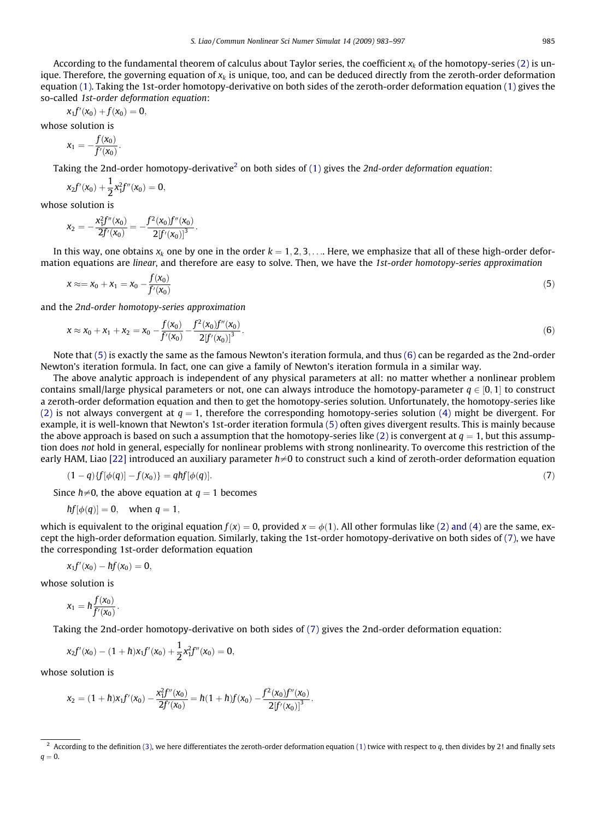<span id="page-2-0"></span>According to the fundamental theorem of calculus about Taylor series, the coefficient  $x_k$  of the homotopy-series [\(2\)](#page-1-0) is unique. Therefore, the governing equation of  $x_k$  is unique, too, and can be deduced directly from the zeroth-order deformation equation [\(1\).](#page-1-0) Taking the 1st-order homotopy-derivative on both sides of the zeroth-order deformation equation [\(1\)](#page-1-0) gives the so-called 1st-order deformation equation:

$$
x_1f^\prime(x_0)+f(x_0)=0,
$$

whose solution is

$$
x_1 = -\frac{f(x_0)}{f'(x_0)}.
$$

Taking the 2nd-order homotopy-derivative<sup>2</sup> on both sides of [\(1\)](#page-1-0) gives the 2nd-order deformation equation:

$$
x_2f'(x_0) + \frac{1}{2}x_1^2f''(x_0) = 0,
$$

whose solution is

$$
x_2=-\frac{x_1^2 f''(x_0)}{2f'(x_0)}=-\frac{f^2(x_0)f''(x_0)}{2[f'(x_0)]^3}.
$$

In this way, one obtains  $x_k$  one by one in the order  $k = 1, 2, 3, \ldots$ . Here, we emphasize that all of these high-order deformation equations are linear, and therefore are easy to solve. Then, we have the 1st-order homotopy-series approximation

$$
x \approx x_0 + x_1 = x_0 - \frac{f(x_0)}{f'(x_0)}\tag{5}
$$

and the 2nd-order homotopy-series approximation

$$
x \approx x_0 + x_1 + x_2 = x_0 - \frac{f(x_0)}{f'(x_0)} - \frac{f^2(x_0)f''(x_0)}{2[f'(x_0)]^3}.
$$
\n(6)

Note that (5) is exactly the same as the famous Newton's iteration formula, and thus (6) can be regarded as the 2nd-order Newton's iteration formula. In fact, one can give a family of Newton's iteration formula in a similar way.

The above analytic approach is independent of any physical parameters at all: no matter whether a nonlinear problem contains small/large physical parameters or not, one can always introduce the homotopy-parameter  $q \in [0,1]$  to construct a zeroth-order deformation equation and then to get the homotopy-series solution. Unfortunately, the homotopy-series like [\(2\)](#page-1-0) is not always convergent at  $q = 1$ , therefore the corresponding homotopy-series solution [\(4\)](#page-1-0) might be divergent. For example, it is well-known that Newton's 1st-order iteration formula (5) often gives divergent results. This is mainly because the above approach is based on such a assumption that the homotopy-series like [\(2\)](#page-1-0) is convergent at  $q = 1$ , but this assumption does not hold in general, especially for nonlinear problems with strong nonlinearity. To overcome this restriction of the early HAM, Liao [\[22\]](#page-13-0) introduced an auxiliary parameter  $\hbar{\neq}0$  to construct such a kind of zeroth-order deformation equation

$$
(1-q)\{f[\phi(q)] - f(x_0)\} = qhf[\phi(q)].
$$
\n(7)

Since  $\hbar{\neq}0$ , the above equation at  $q=1$  becomes

$$
hf[\phi(q)]=0, \quad \text{when } q=1,
$$

which is equivalent to the original equation  $f(x) = 0$ , provided  $x = \phi(1)$ . All other formulas like [\(2\) and \(4\)](#page-1-0) are the same, except the high-order deformation equation. Similarly, taking the 1st-order homotopy-derivative on both sides of (7), we have the corresponding 1st-order deformation equation

$$
x_1f'(x_0)-\hbar f(x_0)=0,
$$

whose solution is

$$
x_1=h\frac{f(x_0)}{f'(x_0)}.
$$

Taking the 2nd-order homotopy-derivative on both sides of (7) gives the 2nd-order deformation equation:

$$
x_2f'(x_0)-(1+\hbar)x_1f'(x_0)+\frac{1}{2}x_1^2f''(x_0)=0,
$$

whose solution is

$$
x_2 = (1 + h)x_1 f'(x_0) - \frac{x_1^2 f''(x_0)}{2f'(x_0)} = h(1 + h)f(x_0) - \frac{f^2(x_0)f''(x_0)}{2[f'(x_0)]^3}.
$$

<sup>&</sup>lt;sup>2</sup> According to the definition [\(3\),](#page-1-0) we here differentiates the zeroth-order deformation equation [\(1\)](#page-1-0) twice with respect to q, then divides by 2! and finally sets  $q = 0$ .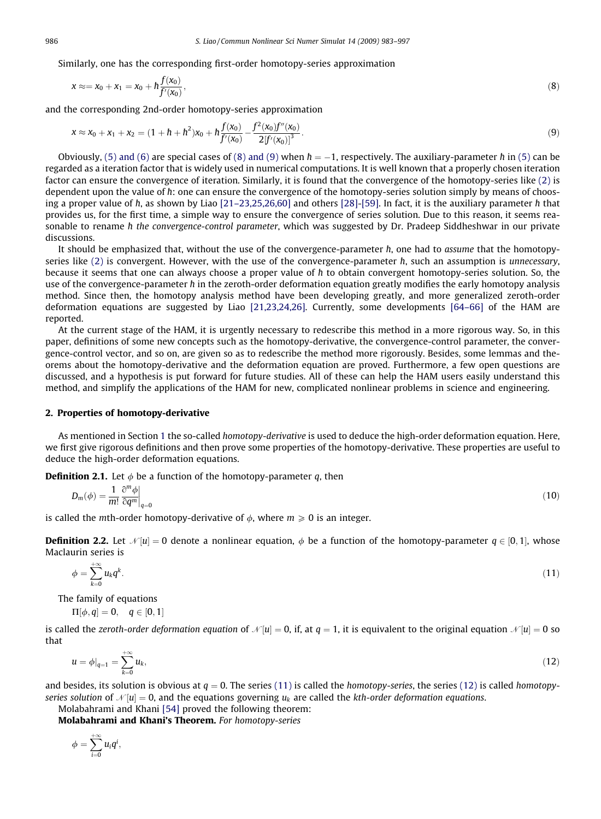<span id="page-3-0"></span>Similarly, one has the corresponding first-order homotopy-series approximation

$$
x \approx x_0 + x_1 = x_0 + h \frac{f(x_0)}{f'(x_0)},
$$
\n(8)

and the corresponding 2nd-order homotopy-series approximation

$$
x \approx x_0 + x_1 + x_2 = (1 + h + h^2)x_0 + h \frac{f(x_0)}{f'(x_0)} - \frac{f^2(x_0)f''(x_0)}{2[f'(x_0)]^3}.
$$
\n(9)

Obviously, [\(5\) and \(6\)](#page-2-0) are special cases of (8) and (9) when  $\hbar=-1$ , respectively. The auxiliary-parameter  $\hbar$  in [\(5\)](#page-2-0) can be regarded as a iteration factor that is widely used in numerical computations. It is well known that a properly chosen iteration factor can ensure the convergence of iteration. Similarly, it is found that the convergence of the homotopy-series like [\(2\)](#page-1-0) is dependent upon the value of *h*: one can ensure the convergence of the homotopy-series solution simply by means of choos-ing a proper value of h, as shown by Liao [\[21–23,25,26,60\]](#page-13-0) and others [\[28\]](#page-13-0)-[\[59\]](#page-14-0). In fact, it is the auxiliary parameter h that provides us, for the first time, a simple way to ensure the convergence of series solution. Due to this reason, it seems reasonable to rename h the convergence-control parameter, which was suggested by Dr. Pradeep Siddheshwar in our private discussions.

It should be emphasized that, without the use of the convergence-parameter  $\hbar$ , one had to assume that the homotopy-series like [\(2\)](#page-1-0) is convergent. However, with the use of the convergence-parameter h, such an assumption is *unnecessary*, because it seems that one can always choose a proper value of  $\hbar$  to obtain convergent homotopy-series solution. So, the use of the convergence-parameter h in the zeroth-order deformation equation greatly modifies the early homotopy analysis method. Since then, the homotopy analysis method have been developing greatly, and more generalized zeroth-order deformation equations are suggested by Liao [\[21,23,24,26\].](#page-13-0) Currently, some developments [\[64–66\]](#page-14-0) of the HAM are reported.

At the current stage of the HAM, it is urgently necessary to redescribe this method in a more rigorous way. So, in this paper, definitions of some new concepts such as the homotopy-derivative, the convergence-control parameter, the convergence-control vector, and so on, are given so as to redescribe the method more rigorously. Besides, some lemmas and theorems about the homotopy-derivative and the deformation equation are proved. Furthermore, a few open questions are discussed, and a hypothesis is put forward for future studies. All of these can help the HAM users easily understand this method, and simplify the applications of the HAM for new, complicated nonlinear problems in science and engineering.

#### 2. Properties of homotopy-derivative

As mentioned in Section 1 the so-called homotopy-derivative is used to deduce the high-order deformation equation. Here, we first give rigorous definitions and then prove some properties of the homotopy-derivative. These properties are useful to deduce the high-order deformation equations.

**Definition 2.1.** Let  $\phi$  be a function of the homotopy-parameter q, then

$$
D_m(\phi) = \frac{1}{m!} \left. \frac{\partial^m \phi}{\partial q^m} \right|_{q=0} \tag{10}
$$

is called the *m*th-order homotopy-derivative of  $\phi$ , where  $m \geq 0$  is an integer.

**Definition 2.2.** Let  $\mathcal{N}[u] = 0$  denote a nonlinear equation,  $\phi$  be a function of the homotopy-parameter  $q \in [0,1]$ , whose Maclaurin series is

$$
\phi = \sum_{k=0}^{+\infty} u_k q^k. \tag{11}
$$

The family of equations

$$
\Pi[\phi, q] = 0, \quad q \in [0, 1]
$$

is called the zeroth-order deformation equation of  $\mathcal{N}[u] = 0$ , if, at  $q = 1$ , it is equivalent to the original equation  $\mathcal{N}[u] = 0$  so that

$$
u = \phi|_{q=1} = \sum_{k=0}^{+\infty} u_k,\tag{12}
$$

and besides, its solution is obvious at  $q = 0$ . The series (11) is called the homotopy-series, the series (12) is called homotopyseries solution of  $\mathcal{N}[u] = 0$ , and the equations governing  $u_k$  are called the kth-order deformation equations.

Molabahrami and Khani [\[54\]](#page-14-0) proved the following theorem:

Molabahrami and Khani's Theorem. For homotopy-series

$$
\phi=\sum_{i=0}^{+\infty}u_iq^i,
$$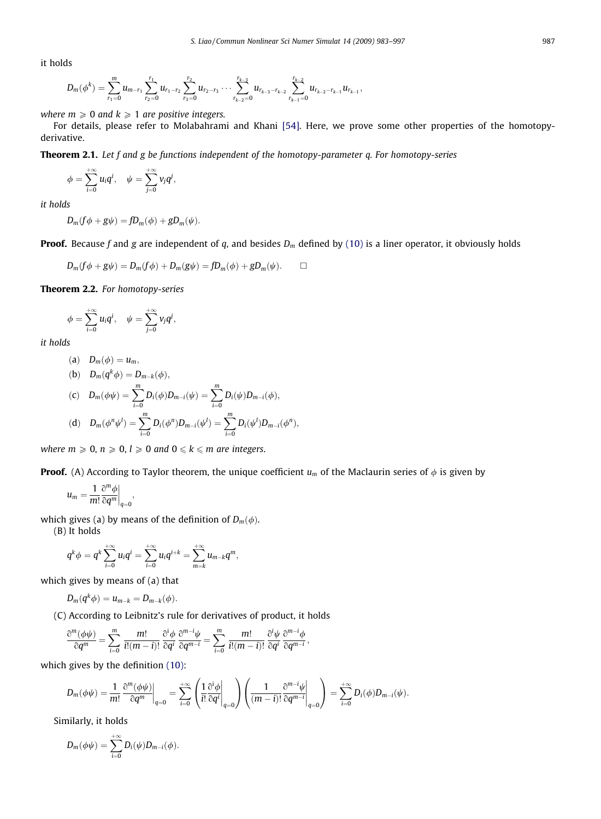<span id="page-4-0"></span>it holds

$$
D_m(\phi^k)=\sum_{r_1=0}^m u_{m-r_1}\sum_{r_2=0}^{r_1} u_{r_1-r_2}\sum_{r_3=0}^{r_2} u_{r_2-r_3}\cdots\sum_{r_{k-2}=0}^{r_{k-3}} u_{r_{k-3}-r_{k-2}}\sum_{r_{k-1}=0}^{r_{k-2}} u_{r_{k-2}-r_{k-1}}u_{r_{k-1}},
$$

where  $m \geq 0$  and  $k \geq 1$  are positive integers.

For details, please refer to Molabahrami and Khani [\[54\]](#page-14-0). Here, we prove some other properties of the homotopyderivative.

**Theorem 2.1.** Let f and g be functions independent of the homotopy-parameter q. For homotopy-series

$$
\phi=\sum_{i=0}^{+\infty}u_iq^i,\quad \psi=\sum_{j=0}^{+\infty}v_jq^j,
$$

it holds

$$
D_m(f\phi + g\psi) = fD_m(\phi) + gD_m(\psi).
$$

**Proof.** Because f and g are independent of q, and besides  $D_m$  defined by [\(10\)](#page-3-0) is a liner operator, it obviously holds

$$
D_m(f\phi + g\psi) = D_m(f\phi) + D_m(g\psi) = fD_m(\phi) + gD_m(\psi). \square
$$

Theorem 2.2. For homotopy-series

$$
\phi=\sum_{i=0}^{+\infty}u_iq^i,\quad \psi=\sum_{j=0}^{+\infty}v_jq^j,
$$

it holds

$$
(a) \quad D_m(\phi) = u_m,
$$

(b) 
$$
D_m(q^k \phi) = D_{m-k}(\phi),
$$
  
\n(c)  $D_m(\phi \psi) = \sum_{i=0}^m D_i(\phi) D_{m-i}(\psi) = \sum_{i=0}^m D_i(\psi) D_{m-i}(\phi),$   
\n(d)  $D_m(\phi^n \psi^l) = \sum_{i=0}^m D_i(\phi^n) D_{m-i}(\psi^l) = \sum_{i=0}^m D_i(\psi^l) D_{m-i}(\phi^n),$ 

where  $m \geq 0$ ,  $n \geq 0$ ,  $l \geq 0$  and  $0 \leq k \leq m$  are integers.

**Proof.** (A) According to Taylor theorem, the unique coefficient  $u_m$  of the Maclaurin series of  $\phi$  is given by

$$
u_m=\frac{1}{m!}\frac{\partial^m\phi}{\partial q^m}\bigg|_{q=0},
$$

which gives (a) by means of the definition of  $D_m(\phi)$ .

(B) It holds

$$
q^{k} \phi = q^{k} \sum_{i=0}^{+\infty} u_{i} q^{i} = \sum_{i=0}^{+\infty} u_{i} q^{i+k} = \sum_{m=k}^{+\infty} u_{m-k} q^{m},
$$

which gives by means of (a) that

$$
D_m(q^k\phi) = u_{m-k} = D_{m-k}(\phi).
$$

(C) According to Leibnitz's rule for derivatives of product, it holds

$$
\frac{\partial^{m}(\phi\psi)}{\partial q^{m}} = \sum_{i=0}^{m} \frac{m!}{i!(m-i)!} \frac{\partial^{i}\phi}{\partial q^{i}} \frac{\partial^{m-i}\psi}{\partial q^{m-i}} = \sum_{i=0}^{m} \frac{m!}{i!(m-i)!} \frac{\partial^{i}\psi}{\partial q^{i}} \frac{\partial^{m-i}\phi}{\partial q^{m-i}},
$$

which gives by the definition [\(10\)](#page-3-0):

$$
D_m(\phi\psi) = \frac{1}{m!} \left. \frac{\partial^m(\phi\psi)}{\partial q^m} \right|_{q=0} = \sum_{i=0}^{+\infty} \left( \frac{1}{i!} \frac{\partial^i \phi}{\partial q^i} \Big|_{q=0} \right) \left( \frac{1}{(m-i)!} \frac{\partial^{m-i} \psi}{\partial q^{m-i}} \Big|_{q=0} \right) = \sum_{i=0}^{+\infty} D_i(\phi) D_{m-i}(\psi).
$$

Similarly, it holds

$$
D_m(\phi\psi)=\sum_{i=0}^{+\infty}D_i(\psi)D_{m-i}(\phi).
$$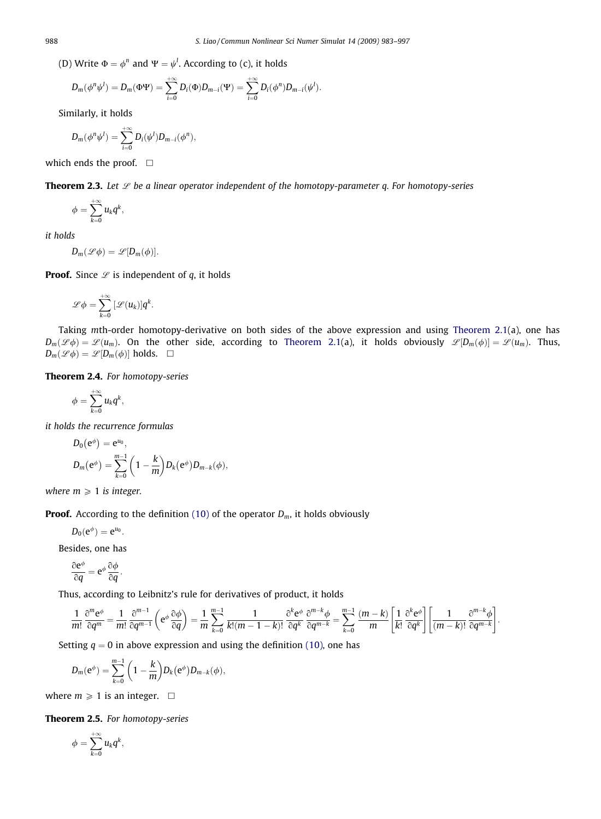<span id="page-5-0"></span>(D) Write  $\Phi = \phi^n$  and  $\Psi = \psi^l$ . According to (c), it holds

$$
D_m(\phi^n\psi^l) = D_m(\Phi\Psi) = \sum_{i=0}^{+\infty} D_i(\Phi)D_{m-i}(\Psi) = \sum_{i=0}^{+\infty} D_i(\phi^n)D_{m-i}(\psi^l).
$$

Similarly, it holds

$$
D_m(\phi^n\psi^l)=\sum_{i=0}^{+\infty}D_i(\psi^l)D_{m-i}(\phi^n),
$$

which ends the proof.  $\square$ 

**Theorem 2.3.** Let  $\mathcal{L}$  be a linear operator independent of the homotopy-parameter q. For homotopy-series

$$
\phi=\sum_{k=0}^{+\infty}u_kq^k,
$$

it holds

$$
D_m(\mathscr{L}\phi)=\mathscr{L}[D_m(\phi)].
$$

**Proof.** Since  $\mathcal{L}$  is independent of q, it holds

$$
\mathscr{L}\phi=\sum_{k=0}^{+\infty}\left[\mathscr{L}(u_k)\right]q^k.
$$

Taking mth-order homotopy-derivative on both sides of the above expression and using [Theorem 2.1](#page-4-0)(a), one has  $D_m(\mathscr{L}\phi) = \mathscr{L}(u_m)$ . On the other side, according to [Theorem 2.1](#page-4-0)(a), it holds obviously  $\mathscr{L}[D_m(\phi)] = \mathscr{L}(u_m)$ . Thus,  $D_m(\mathscr{L}\phi) = \mathscr{L}[D_m(\phi)]$  holds.  $\Box$ 

Theorem 2.4. For homotopy-series

$$
\phi=\sum_{k=0}^{+\infty}u_kq^k,
$$

it holds the recurrence formulas

$$
D_0(e^{\phi}) = e^{u_0},
$$
  
\n
$$
D_m(e^{\phi}) = \sum_{k=0}^{m-1} \left(1 - \frac{k}{m}\right) D_k(e^{\phi}) D_{m-k}(\phi),
$$

where  $m \geq 1$  is integer.

**Proof.** According to the definition [\(10\)](#page-3-0) of the operator  $D_m$ , it holds obviously

$$
D_0(e^{\phi})=e^{u_0}.
$$

Besides, one has

$$
\frac{\partial e^{\phi}}{\partial q} = e^{\phi} \frac{\partial \phi}{\partial q}.
$$

Thus, according to Leibnitz's rule for derivatives of product, it holds

$$
\frac{1}{m!}\frac{\partial^m \mathbf{e}^{\phi}}{\partial q^m} = \frac{1}{m!}\frac{\partial^{m-1}}{\partial q^{m-1}}\left(\mathbf{e}^{\phi}\frac{\partial \phi}{\partial q}\right) = \frac{1}{m}\sum_{k=0}^{m-1}\frac{1}{k!(m-1-k)!}\frac{\partial^k \mathbf{e}^{\phi}}{\partial q^k}\frac{\partial^{m-k}\phi}{\partial q^{m-k}} = \sum_{k=0}^{m-1}\frac{(m-k)}{m}\left[\frac{1}{k!}\frac{\partial^k \mathbf{e}^{\phi}}{\partial q^k}\right]\left[\frac{1}{(m-k)!}\frac{\partial^{m-k}\phi}{\partial q^{m-k}}\right].
$$

Setting  $q = 0$  in above expression and using the definition [\(10\)](#page-3-0), one has

$$
D_m(e^{\phi})=\sum_{k=0}^{m-1}\bigg(1-\frac{k}{m}\bigg)D_k(e^{\phi})D_{m-k}(\phi),
$$

where  $m \geq 1$  is an integer.  $\Box$ 

Theorem 2.5. For homotopy-series

$$
\phi=\sum_{k=0}^{+\infty}u_kq^k,
$$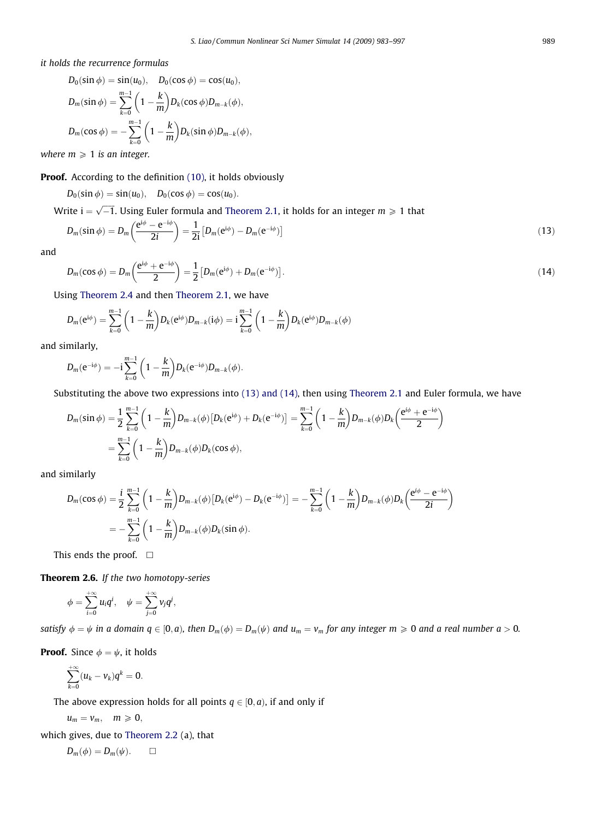<span id="page-6-0"></span>it holds the recurrence formulas

$$
D_0(\sin \phi) = \sin(u_0), \quad D_0(\cos \phi) = \cos(u_0),
$$
  
\n
$$
D_m(\sin \phi) = \sum_{k=0}^{m-1} \left(1 - \frac{k}{m}\right) D_k(\cos \phi) D_{m-k}(\phi),
$$
  
\n
$$
D_m(\cos \phi) = -\sum_{k=0}^{m-1} \left(1 - \frac{k}{m}\right) D_k(\sin \phi) D_{m-k}(\phi),
$$

where  $m \geq 1$  is an integer.

## **Proof.** According to the definition [\(10\)](#page-3-0), it holds obviously

$$
D_0(\sin \phi) = \sin(u_0), \quad D_0(\cos \phi) = \cos(u_0).
$$

Write  $\mathrm{i}=\sqrt{-1}.$  Using Euler formula and [Theorem 2.1,](#page-4-0) it holds for an integer  $m\geqslant 1$  that

$$
D_m(\sin\phi) = D_m\left(\frac{e^{i\phi} - e^{-i\phi}}{2i}\right) = \frac{1}{2i} \left[D_m(e^{i\phi}) - D_m(e^{-i\phi})\right]
$$
\n(13)

and

$$
D_m(\cos \phi) = D_m\left(\frac{e^{i\phi} + e^{-i\phi}}{2}\right) = \frac{1}{2} \left[ D_m(e^{i\phi}) + D_m(e^{-i\phi}) \right].
$$
 (14)

Using [Theorem 2.4](#page-5-0) and then [Theorem 2.1](#page-4-0), we have

$$
D_m(e^{i\phi})=\sum_{k=0}^{m-1}\bigg(1-\frac{k}{m}\bigg)D_k(e^{i\phi})D_{m-k}(i\phi)=i\sum_{k=0}^{m-1}\bigg(1-\frac{k}{m}\bigg)D_k(e^{i\phi})D_{m-k}(\phi)
$$

and similarly,

$$
D_m(e^{-i\phi}) = -i \sum_{k=0}^{m-1} \bigg(1-\frac{k}{m}\bigg) D_k(e^{-i\phi}) D_{m-k}(\phi).
$$

Substituting the above two expressions into (13) and (14), then using [Theorem 2.1](#page-4-0) and Euler formula, we have

$$
D_m(\sin \phi) = \frac{1}{2} \sum_{k=0}^{m-1} \left( 1 - \frac{k}{m} \right) D_{m-k}(\phi) \left[ D_k(e^{i\phi}) + D_k(e^{-i\phi}) \right] = \sum_{k=0}^{m-1} \left( 1 - \frac{k}{m} \right) D_{m-k}(\phi) D_k\left( \frac{e^{i\phi} + e^{-i\phi}}{2} \right)
$$
  
= 
$$
\sum_{k=0}^{m-1} \left( 1 - \frac{k}{m} \right) D_{m-k}(\phi) D_k(\cos \phi),
$$

and similarly

$$
D_m(\cos \phi) = \frac{i}{2} \sum_{k=0}^{m-1} \left( 1 - \frac{k}{m} \right) D_{m-k}(\phi) \left[ D_k(e^{i\phi}) - D_k(e^{-i\phi}) \right] = -\sum_{k=0}^{m-1} \left( 1 - \frac{k}{m} \right) D_{m-k}(\phi) D_k \left( \frac{e^{i\phi} - e^{-i\phi}}{2i} \right)
$$
  
= 
$$
-\sum_{k=0}^{m-1} \left( 1 - \frac{k}{m} \right) D_{m-k}(\phi) D_k(\sin \phi).
$$

This ends the proof.  $\Box$ 

Theorem 2.6. If the two homotopy-series

$$
\phi=\sum_{i=0}^{+\infty}u_iq^i,\quad \psi=\sum_{j=0}^{+\infty}v_jq^j,
$$

satisfy  $\phi = \psi$  in a domain  $q \in [0, a)$ , then  $D_m(\phi) = D_m(\psi)$  and  $u_m = v_m$  for any integer  $m \ge 0$  and a real number  $a > 0$ .

**Proof.** Since  $\phi = \psi$ , it holds

$$
\sum_{k=0}^{+\infty} (u_k - v_k) q^k = 0.
$$

The above expression holds for all points  $q \in [0, a)$ , if and only if

$$
u_m=v_m,\quad m\geqslant 0,
$$

which gives, due to [Theorem 2.2](#page-4-0) (a), that

$$
D_m(\phi) = D_m(\psi). \qquad \Box
$$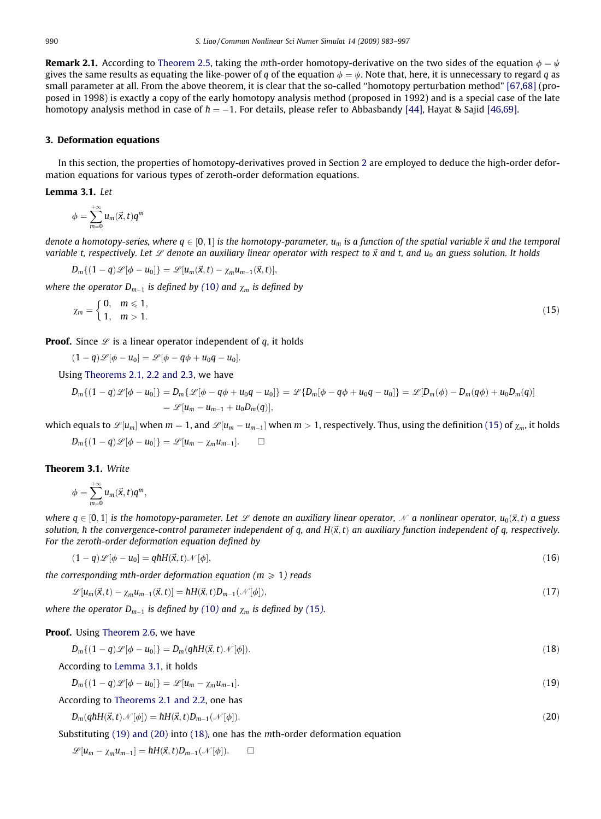<span id="page-7-0"></span>**Remark 2.1.** According to [Theorem 2.5,](#page-5-0) taking the mth-order homotopy-derivative on the two sides of the equation  $\phi = \psi$ gives the same results as equating the like-power of q of the equation  $\phi = \psi$ . Note that, here, it is unnecessary to regard q as small parameter at all. From the above theorem, it is clear that the so-called ''homotopy perturbation method" [\[67,68\]](#page-14-0) (proposed in 1998) is exactly a copy of the early homotopy analysis method (proposed in 1992) and is a special case of the late homotopy analysis method in case of  $\hbar=-1.$  For details, please refer to Abbasbandy [\[44\],](#page-13-0) Hayat & Sajid [\[46,69\].](#page-13-0)

#### 3. Deformation equations

In this section, the properties of homotopy-derivatives proved in Section 2 are employed to deduce the high-order deformation equations for various types of zeroth-order deformation equations.

#### Lemma 3.1. Let

$$
\phi=\sum_{m=0}^{+\infty}u_m(\vec{x},t)q^m
$$

denote a homotopy-series, where  $q \in [0,1]$  is the homotopy-parameter,  $u_m$  is a function of the spatial variable  $\vec{x}$  and the temporal variable t, respectively. Let  $\mathscr L$  denote an auxiliary linear operator with respect to  $\vec x$  and t, and  $u_0$  an guess solution. It holds

$$
D_m\{(1-q)\mathscr{L}[\phi-u_0]\}=\mathscr{L}[u_m(\vec{x},t)-\chi_mu_{m-1}(\vec{x},t)],
$$

where the operator  $D_{m-1}$  is defined by ([10](#page-3-0)) and  $\chi_m$  is defined by

$$
\chi_m = \begin{cases} 0, & m \leq 1, \\ 1, & m > 1. \end{cases}
$$
 (15)

**Proof.** Since  $\mathscr L$  is a linear operator independent of q, it holds

 $(1-q)\mathscr{L}[\phi-u_0]=\mathscr{L}[\phi-q\phi+u_0q-u_0].$ 

Using [Theorems 2.1, 2.2 and 2.3](#page-4-0), we have

$$
D_m\{(1-q)\mathscr{L}[\phi-u_0]\}=D_m\{\mathscr{L}[\phi-q\phi+u_0q-u_0]\}=\mathscr{L}\{D_m[\phi-q\phi+u_0q-u_0]\}=\mathscr{L}[D_m(\phi)-D_m(q\phi)+u_0D_m(q)]
$$
  
=  $\mathscr{L}[u_m-u_{m-1}+u_0D_m(q)],$ 

which equals to  $\mathscr{L}[u_m]$  when  $m=1$ , and  $\mathscr{L}[u_m-u_{m-1}]$  when  $m>1$ , respectively. Thus, using the definition (15) of  $\chi_m$ , it holds

$$
D_m\{(1-q)\mathscr{L}[\phi-u_0]\}=\mathscr{L}[u_m-\chi_mu_{m-1}].\qquad \Box
$$

#### Theorem 3.1. Write

$$
\phi=\sum_{m=0}^{+\infty}u_m(\vec{x},t)q^m,
$$

where  $q \in [0, 1]$  is the homotopy-parameter. Let  $\mathscr L$  denote an auxiliary linear operator,  $\mathscr N$  a nonlinear operator,  $u_0(\vec x, t)$  a guess solution,  $\hbar$  the convergence-control parameter independent of q, and H( $\vec{x},t$ ) an auxiliary function independent of q, respectively. For the zeroth-order deformation equation defined by

$$
(1-q)\mathscr{L}[\phi - u_0] = qhH(\vec{x},t)\mathscr{N}[\phi],\tag{16}
$$

the corresponding mth-order deformation equation ( $m \geq 1$ ) reads

$$
\mathcal{L}[u_m(\vec{x},t) - \chi_m u_{m-1}(\vec{x},t)] = \hbar H(\vec{x},t) D_{m-1}(\mathcal{N}[\phi]),\tag{17}
$$

where the operator  $D_{m-1}$  is defined by ([10](#page-3-0)) and  $\chi_m$  is defined by (15).

#### Proof. Using [Theorem 2.6,](#page-6-0) we have

$$
D_m\{(1-q)\mathscr{L}[\phi-u_0]\}=D_m(q\hbar H(\vec{x},t)\mathscr{N}[\phi]).
$$
\n(18)

According to Lemma 3.1, it holds

 $D_m\{(1-q)\mathscr{L}[\phi-u_0]\}=\mathscr{L}[u_m-\chi_mu_{m-1}]$  $_{1}.$  (19)

According to [Theorems 2.1 and 2.2](#page-4-0), one has

 $D_m(qhH(\vec{x},t)\mathcal{N}[\phi]) = hH(\vec{x},t)D_{m-1}$  $1(\mathcal{N}[\phi]).$  (20)

Substituting (19) and (20) into (18), one has the mth-order deformation equation

 $\mathscr{L}[u_m - \chi_m u_{m-1}] = \hbar H(\vec{x}, t) D_{m-1}(\mathcal{N}[\phi]).$   $\Box$  $\Box$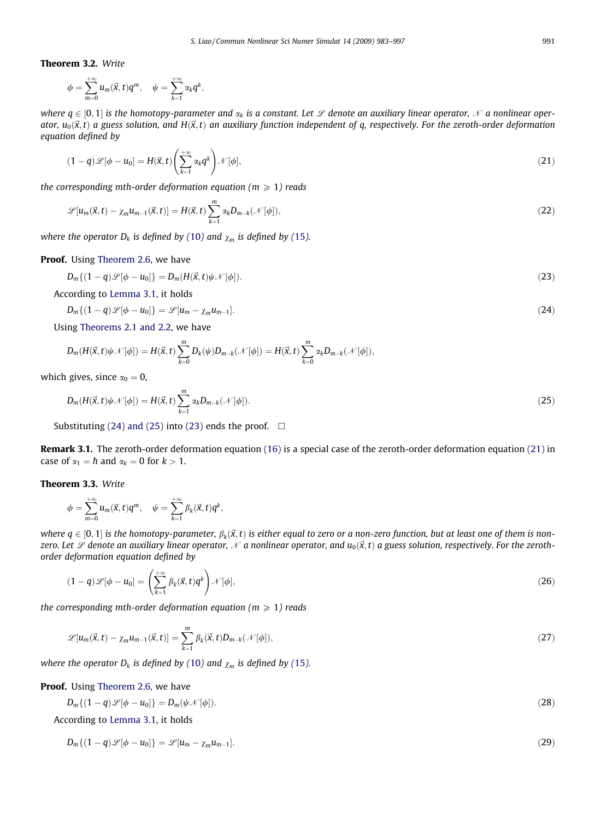# <span id="page-8-0"></span>Theorem 3.2. Write

$$
\phi=\sum_{m=0}^{+\infty}u_m(\vec{x},t)q^m, \quad \psi=\sum_{k=1}^{+\infty}\alpha_kq^k,
$$

where  $q \in [0, 1]$  is the homotopy-parameter and  $\alpha_k$  is a constant. Let  $\mathscr L$  denote an auxiliary linear operator,  $\mathscr N$  a nonlinear operator,  $u_0(\vec{x},t)$  a guess solution, and  $H(\vec{x},t)$  an auxiliary function independent of q, respectively. For the zeroth-order deformation equation defined by

$$
(1-q)\mathscr{L}[\phi - u_0] = H(\vec{x}, t) \left( \sum_{k=1}^{+\infty} \alpha_k q^k \right) \mathscr{N}[\phi], \tag{21}
$$

the corresponding mth-order deformation equation ( $m \ge 1$ ) reads

$$
\mathscr{L}[u_m(\vec{x},t) - \chi_m u_{m-1}(\vec{x},t)] = H(\vec{x},t) \sum_{k=1}^m \alpha_k D_{m-k}(\mathcal{N}[\phi]),\tag{22}
$$

where the operator  $D_k$  is defined by ([10](#page-3-0)) and  $\chi_m$  is defined by ([15](#page-7-0)).

### Proof. Using [Theorem 2.6](#page-6-0), we have

$$
D_m\{(1-q)\mathscr{L}[\phi-u_0]\} = D_m(H(\vec{x},t)\psi\mathscr{N}[\phi]).
$$
\n(23)

According to [Lemma 3.1](#page-7-0), it holds

$$
D_m\{(1-q)\mathscr{L}[\phi-u_0]\}=\mathscr{L}[u_m-\chi_m u_{m-1}].\tag{24}
$$

Using [Theorems 2.1 and 2.2,](#page-4-0) we have

 $D_m(H(\vec{x},t)\psi\mathcal{N}[\phi]) = H(\vec{x},t)\sum^m$  $\sum_{k=0}^m D_k(\psi)D_{m-k}(\mathcal{N}[\phi]) = H(\vec{x},t)\sum_{k=0}^m$  $\sum_{k=0} \alpha_k D_{m-k}(\mathcal{N}[\phi]),$ 

which gives, since  $\alpha_0 = 0$ ,

$$
D_m(H(\vec{x},t)\psi\mathcal{N}[\phi]) = H(\vec{x},t)\sum_{k=1}^m \alpha_k D_{m-k}(\mathcal{N}[\phi]).
$$
\n(25)

Substituting (24) and (25) into (23) ends the proof.  $\Box$ 

Remark 3.1. The zeroth-order deformation equation [\(16\)](#page-7-0) is a special case of the zeroth-order deformation equation (21) in case of  $\alpha_1 = h$  and  $\alpha_k = 0$  for  $k > 1$ .

Theorem 3.3. Write

$$
\phi = \sum_{m=0}^{+\infty} u_m(\vec{x}, t) q^m, \quad \psi = \sum_{k=1}^{+\infty} \beta_k(\vec{x}, t) q^k,
$$

where  $q \in [0,1]$  is the homotopy-parameter,  $\beta_k(\vec{x},t)$  is either equal to zero or a non-zero function, but at least one of them is nonzero. Let  $\mathscr L$  denote an auxiliary linear operator,  $\mathscr N$  a nonlinear operator, and  $u_0(\vec x,t)$  a guess solution, respectively. For the zerothorder deformation equation defined by

$$
(1-q)\mathscr{L}[\phi - u_0] = \left(\sum_{k=1}^{+\infty} \beta_k(\vec{x}, t) q^k\right) \mathscr{N}[\phi],\tag{26}
$$

the corresponding mth-order deformation equation ( $m \ge 1$ ) reads

$$
\mathcal{L}[u_m(\vec{x},t)-\chi_mu_{m-1}(\vec{x},t)]=\sum_{k=1}^m\beta_k(\vec{x},t)D_{m-k}(\mathcal{N}[\phi]),\qquad (27)
$$

where the operator  $D_k$  is defined by ([10](#page-3-0)) and  $\chi_m$  is defined by ([15](#page-7-0)).

Proof. Using [Theorem 2.6](#page-6-0), we have

 $D_m\{(1-q)\mathscr{L}[\phi-u_0]\}=D_m(\psi\mathscr{N}[\phi]).$  (28)

According to [Lemma 3.1](#page-7-0), it holds

 $D_m\{(1-q)\mathscr{L}[\phi-u_0]\}=\mathscr{L}[u_m-\chi_mu_{m-1}]$  $_{1}.$  (29)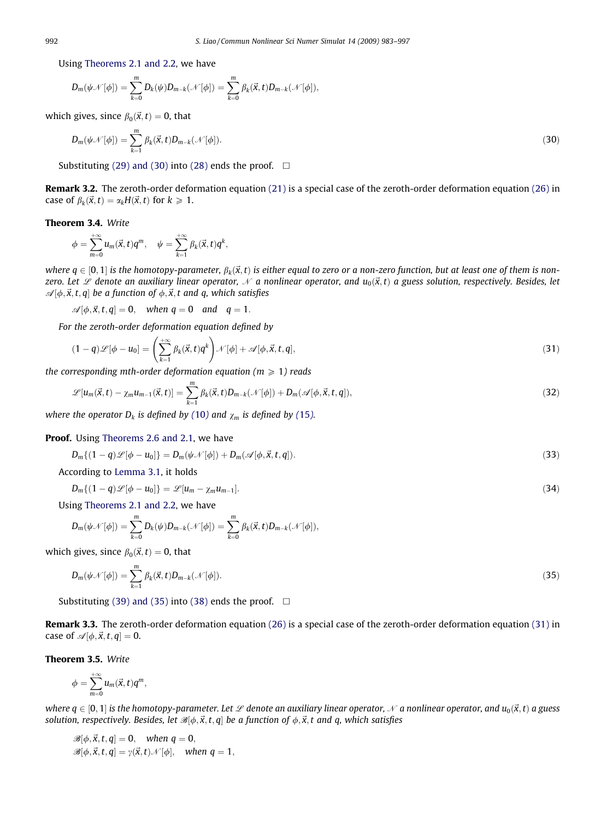Using [Theorems 2.1 and 2.2](#page-4-0), we have

$$
D_m(\psi \mathcal{N}[\phi]) = \sum_{k=0}^m D_k(\psi) D_{m-k}(\mathcal{N}[\phi]) = \sum_{k=0}^m \beta_k(\vec{x},t) D_{m-k}(\mathcal{N}[\phi]),
$$

which gives, since  $\beta_0(\vec{x},t) = 0$ , that

$$
D_m(\psi \mathcal{N}[\phi]) = \sum_{k=1}^m \beta_k(\vec{x}, t) D_{m-k}(\mathcal{N}[\phi]). \tag{30}
$$

Substituting [\(29\) and \(30\)](#page-8-0) into [\(28\)](#page-8-0) ends the proof.  $\Box$ 

Remark 3.2. The zeroth-order deformation equation [\(21\)](#page-8-0) is a special case of the zeroth-order deformation equation [\(26\)](#page-8-0) in case of  $\beta_k(\vec{x},t) = \alpha_k H(\vec{x},t)$  for  $k \geq 1$ .

#### Theorem 3.4. Write

$$
\phi=\sum_{m=0}^{+\infty}u_m(\vec{x},t)q^m, \quad \psi=\sum_{k=1}^{+\infty}\beta_k(\vec{x},t)q^k,
$$

where  $q \in [0, 1]$  is the homotopy-parameter,  $\beta_k(\vec{x}, t)$  is either equal to zero or a non-zero function, but at least one of them is nonzero. Let  $\mathscr L$  denote an auxiliary linear operator,  $\mathscr N$  a nonlinear operator, and  $u_0(\vec x, t)$  a guess solution, respectively. Besides, let  $\mathscr{A}[\phi,\vec{x},t,q]$  be a function of  $\phi,\vec{x},t$  and q, which satisfies

 $\mathscr{A}[\phi, \vec{x}, t, q] = 0$ , when  $q = 0$  and  $q = 1$ .

For the zeroth-order deformation equation defined by

$$
(1-q)\mathscr{L}[\phi - u_0] = \left(\sum_{k=1}^{+\infty} \beta_k(\vec{x},t)q^k\right)\mathscr{N}[\phi] + \mathscr{A}[\phi,\vec{x},t,q],\tag{31}
$$

the corresponding mth-order deformation equation ( $m \geq 1$ ) reads

$$
\mathcal{L}[u_m(\vec{x},t) - \chi_m u_{m-1}(\vec{x},t)] = \sum_{k=1}^m \beta_k(\vec{x},t) D_{m-k}(\mathcal{N}[\phi]) + D_m(\mathcal{A}[\phi,\vec{x},t,q]),\tag{32}
$$

where the operator  $D_k$  is defined by ([10](#page-3-0)) and  $\chi_m$  is defined by ([15](#page-7-0)).

#### Proof. Using [Theorems 2.6 and 2.1](#page-6-0), we have

$$
D_m\{(1-q)\mathscr{L}[\phi-u_0]\}=D_m(\psi\mathscr{N}[\phi])+D_m(\mathscr{A}[\phi,\vec{x},t,q]).
$$
\n(33)

According to [Lemma 3.1,](#page-7-0) it holds

$$
D_m\{(1-q)\mathscr{L}[\phi-u_0]\}=\mathscr{L}[u_m-\chi_m u_{m-1}].\tag{34}
$$

Using [Theorems 2.1 and 2.2](#page-4-0), we have

$$
D_m(\psi \mathcal{N}[\phi]) = \sum_{k=0}^m D_k(\psi) D_{m-k}(\mathcal{N}[\phi]) = \sum_{k=0}^m \beta_k(\vec{x},t) D_{m-k}(\mathcal{N}[\phi]),
$$

which gives, since  $\beta_0(\vec{x},t) = 0$ , that

$$
D_m(\psi \mathcal{N}[\phi]) = \sum_{k=1}^m \beta_k(\vec{x}, t) D_{m-k}(\mathcal{N}[\phi]). \tag{35}
$$

Substituting [\(39\) and \(35\)](#page-10-0) into [\(38\)](#page-10-0) ends the proof.  $\Box$ 

Remark 3.3. The zeroth-order deformation equation [\(26\)](#page-8-0) is a special case of the zeroth-order deformation equation (31) in case of  $\mathcal{A}[\phi, \vec{x}, t, q] = 0$ .

Theorem 3.5. Write

$$
\phi=\sum_{m=0}^{+\infty}u_m(\vec{x},t)q^m,
$$

where  $q \in [0, 1]$  is the homotopy-parameter. Let  $\mathscr L$  denote an auxiliary linear operator,  $\mathscr N$  a nonlinear operator, and  $u_0(\vec x, t)$  a guess solution, respectively. Besides, let  $\mathcal{B}[\phi, \vec{x}, t, q]$  be a function of  $\phi, \vec{x}, t$  and q, which satisfies

$$
\mathscr{B}[\phi, \vec{x}, t, q] = 0, \quad \text{when } q = 0,
$$
  

$$
\mathscr{B}[\phi, \vec{x}, t, q] = \gamma(\vec{x}, t) \mathscr{N}[\phi], \quad \text{when } q = 1,
$$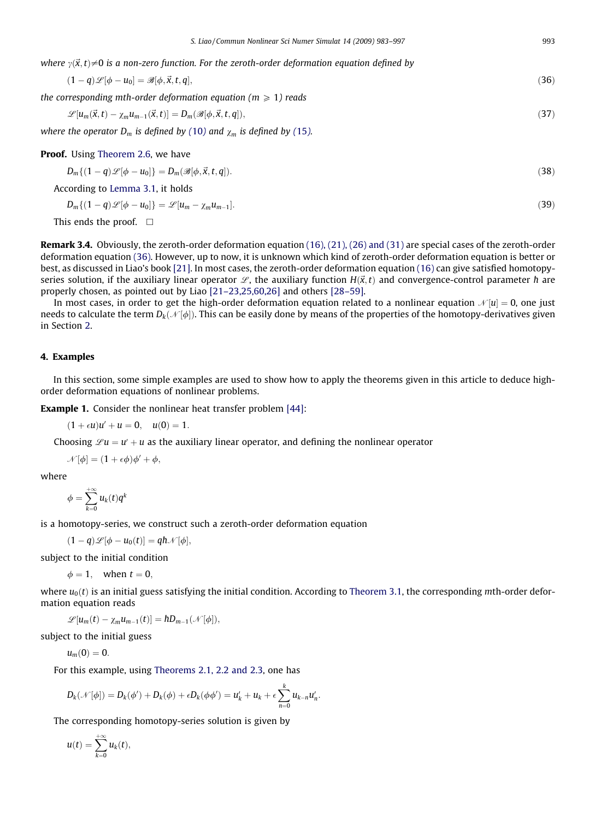<span id="page-10-0"></span>where  $v(\vec{x},t) \neq 0$  is a non-zero function. For the zeroth-order deformation equation defined by

$$
(1-q)\mathscr{L}[\phi - u_0] = \mathscr{B}[\phi, \vec{x}, t, q],\tag{36}
$$

the corresponding mth-order deformation equation (
$$
m \geq 1
$$
) reads

$$
\mathscr{L}[u_m(\vec{x},t) - \chi_m u_{m-1}(\vec{x},t)] = D_m(\mathscr{B}[\phi,\vec{x},t,q]),\tag{37}
$$

where the operator  $D_m$  is defined by ([10](#page-3-0)) and  $\chi_m$  is defined by ([15](#page-7-0)).

Proof. Using [Theorem 2.6](#page-6-0), we have

$$
D_m\{(1-q)\mathscr{L}[\phi-u_0]\} = D_m(\mathscr{B}[\phi,\vec{x},t,q]).
$$
\n(38)

According to [Lemma 3.1](#page-7-0), it holds

$$
D_m\{(1-q)\mathscr{L}[\phi-u_0]\}=\mathscr{L}[u_m-\chi_m u_{m-1}].\tag{39}
$$

This ends the proof.  $\Box$ 

Remark 3.4. Obviously, the zeroth-order deformation equation [\(16\), \(21\), \(26\) and \(31\)](#page-7-0) are special cases of the zeroth-order deformation equation (36). However, up to now, it is unknown which kind of zeroth-order deformation equation is better or best, as discussed in Liao's book [\[21\]](#page-13-0). In most cases, the zeroth-order deformation equation [\(16\)](#page-7-0) can give satisfied homotopyseries solution, if the auxiliary linear operator  $\mathscr L$ , the auxiliary function  $H(\vec x,t)$  and convergence-control parameter  $h$  are properly chosen, as pointed out by Liao [\[21–23,25,60,26\]](#page-13-0) and others [\[28–59\]](#page-13-0).

In most cases, in order to get the high-order deformation equation related to a nonlinear equation  $\mathcal{N}[u] = 0$ , one just needs to calculate the term  $D_k(\mathcal{N}[\phi])$ . This can be easily done by means of the properties of the homotopy-derivatives given in Section 2.

## 4. Examples

In this section, some simple examples are used to show how to apply the theorems given in this article to deduce highorder deformation equations of nonlinear problems.

Example 1. Consider the nonlinear heat transfer problem [\[44\]](#page-13-0):

 $(1 + \epsilon u)u' + u = 0$ ,  $u(0) = 1$ .

Choosing  $\mathscr{L}u = u' + u$  as the auxiliary linear operator, and defining the nonlinear operator

 $\mathcal{N}[\phi] = (1 + \epsilon \phi)\phi' + \phi,$ 

where

 $\phi = \sum_{n=1}^{+\infty}$  $\sum_{k=0} u_k(t)q^k$ 

is a homotopy-series, we construct such a zeroth-order deformation equation

 $(1-q)\mathscr{L}[\phi-u_0(t)]=q\hbar\mathscr{N}[\phi],$ 

subject to the initial condition

 $\phi = 1$ , when  $t = 0$ ,

where  $u_0(t)$  is an initial guess satisfying the initial condition. According to [Theorem 3.1](#page-7-0), the corresponding mth-order deformation equation reads

 $\mathscr{L}[u_m(t) - \chi_m u_{m-1}(t)] = \hbar D_{m-1}(\mathscr{N}[\phi]),$ 

subject to the initial guess

 $u_m(0) = 0.$ 

For this example, using [Theorems 2.1, 2.2 and 2.3](#page-4-0), one has

$$
D_k(\mathcal{N}[\phi]) = D_k(\phi') + D_k(\phi) + \epsilon D_k(\phi \phi') = u'_k + u_k + \epsilon \sum_{n=0}^k u_{k-n} u'_n.
$$

The corresponding homotopy-series solution is given by

$$
u(t)=\sum_{k=0}^{+\infty}u_k(t),
$$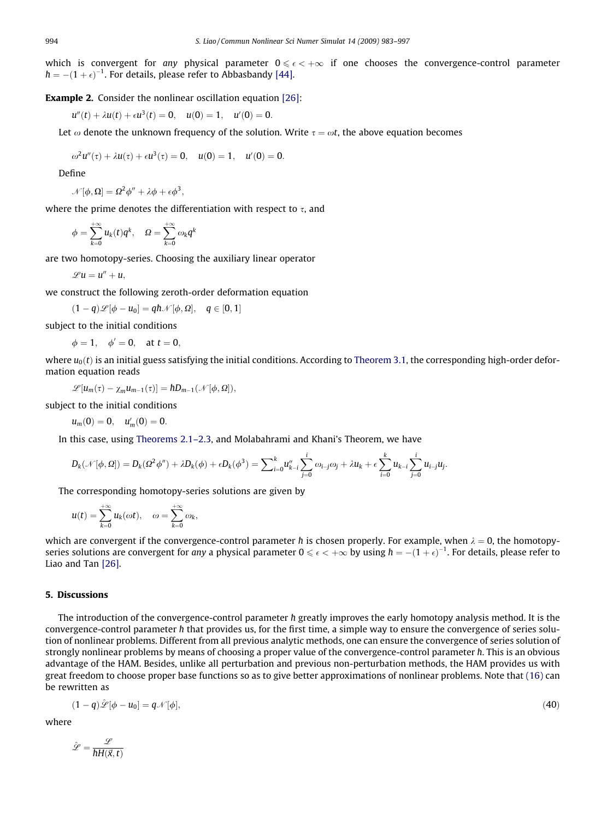which is convergent for any physical parameter  $0 \leqslant \epsilon < +\infty$  if one chooses the convergence-control parameter  $\hbar = -(1+\epsilon)^{-1}.$  For details, please refer to Abbasbandy [\[44\]](#page-13-0).

### **Example 2.** Consider the nonlinear oscillation equation [\[26\]](#page-13-0):

$$
u''(t) + \lambda u(t) + \epsilon u^3(t) = 0, \quad u(0) = 1, \quad u'(0) = 0.
$$

Let  $\omega$  denote the unknown frequency of the solution. Write  $\tau = \omega t$ , the above equation becomes

$$
\omega^2 u''(\tau) + \lambda u(\tau) + \epsilon u^3(\tau) = 0, \quad u(0) = 1, \quad u'(0) = 0.
$$

Define

$$
\mathcal{N}[\phi,\Omega] = \Omega^2 \phi'' + \lambda \phi + \epsilon \phi^3,
$$

where the prime denotes the differentiation with respect to  $\tau$ , and

$$
\phi = \sum_{k=0}^{+\infty} u_k(t) q^k, \quad \Omega = \sum_{k=0}^{+\infty} \omega_k q^k
$$

are two homotopy-series. Choosing the auxiliary linear operator

 $\mathscr{L}u = u'' + u$ .

we construct the following zeroth-order deformation equation

 $\mathcal{A}(\mathbb{1}-q)\mathscr{L}[\phi-u_0]=q\hbar\mathscr{N}[\phi,\Omega],\quad q\in[0,1],$ 

subject to the initial conditions

 $\phi = 1, \quad \phi' = 0, \quad \text{at } t = 0,$ 

where  $u_0(t)$  is an initial guess satisfying the initial conditions. According to [Theorem 3.1](#page-7-0), the corresponding high-order deformation equation reads

$$
\mathscr{L}[u_m(\tau)-\chi_mu_{m-1}(\tau)]=\hbar D_{m-1}(\mathscr{N}[\phi,\Omega]),
$$

subject to the initial conditions

$$
u_m(0) = 0, \quad u'_m(0) = 0.
$$

In this case, using [Theorems 2.1–2.3](#page-4-0), and Molabahrami and Khani's Theorem, we have

$$
D_k(\mathcal{N}[\phi,\Omega])=D_k(\Omega^2\phi'')+\lambda D_k(\phi)+\epsilon D_k(\phi^3)=\sum\nolimits_{i=0}^k u''_{k-i}\sum_{j=0}^i\omega_{i-j}\omega_j+\lambda u_k+\epsilon\sum_{i=0}^k u_{k-i}\sum_{j=0}^i u_{i-j}u_j.
$$

The corresponding homotopy-series solutions are given by

$$
u(t) = \sum_{k=0}^{+\infty} u_k(\omega t), \quad \omega = \sum_{k=0}^{+\infty} \omega_k,
$$

which are convergent if the convergence-control parameter h is chosen properly. For example, when  $\lambda = 0$ , the homotopyseries solutions are convergent for any a physical parameter  $0\leqslant \epsilon<+\infty$  by using  $\hbar=-(1+\epsilon)^{-1}.$  For details, please refer to Liao and Tan [\[26\].](#page-13-0)

#### 5. Discussions

The introduction of the convergence-control parameter  $\hbar$  greatly improves the early homotopy analysis method. It is the convergence-control parameter h that provides us, for the first time, a simple way to ensure the convergence of series solution of nonlinear problems. Different from all previous analytic methods, one can ensure the convergence of series solution of strongly nonlinear problems by means of choosing a proper value of the convergence-control parameter ħ. This is an obvious advantage of the HAM. Besides, unlike all perturbation and previous non-perturbation methods, the HAM provides us with great freedom to choose proper base functions so as to give better approximations of nonlinear problems. Note that [\(16\)](#page-7-0) can be rewritten as

$$
(1-q)\hat{\mathscr{L}}[\phi - u_0] = q\mathscr{N}[\phi],\tag{40}
$$

where

$$
\hat{\mathscr{L}} = \frac{\mathscr{L}}{\hbar H(\vec{x}, t)}
$$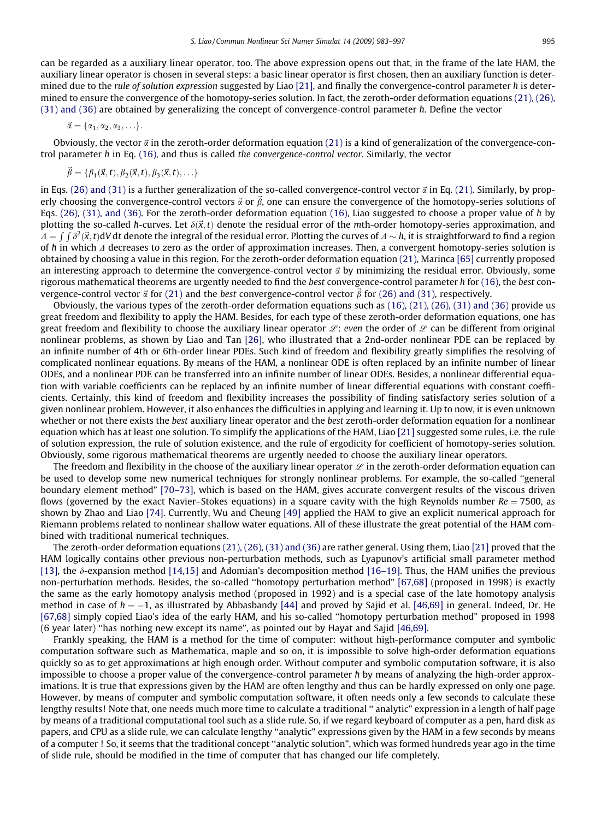can be regarded as a auxiliary linear operator, too. The above expression opens out that, in the frame of the late HAM, the auxiliary linear operator is chosen in several steps: a basic linear operator is first chosen, then an auxiliary function is deter-mined due to the rule of solution expression suggested by Liao [\[21\],](#page-13-0) and finally the convergence-control parameter  $\hbar$  is determined to ensure the convergence of the homotopy-series solution. In fact, the zeroth-order deformation equations [\(21\), \(26\),](#page-8-0) [\(31\) and \(36\)](#page-8-0) are obtained by generalizing the concept of convergence-control parameter  $\hbar$ . Define the vector

$$
\vec{\alpha} = \{\alpha_1, \alpha_2, \alpha_3, \ldots\}.
$$

Obviously, the vector  $\vec{\alpha}$  in the zeroth-order deformation equation [\(21\)](#page-8-0) is a kind of generalization of the convergence-con-trol parameter h in Eq. [\(16\),](#page-7-0) and thus is called *the convergence-control vector.* Similarly, the vector

$$
\vec{\beta} = {\beta_1(\vec{x},t), \beta_2(\vec{x},t), \beta_3(\vec{x},t), \ldots}
$$

in Eqs. [\(26\) and \(31\)](#page-8-0) is a further generalization of the so-called convergence-control vector  $\vec{\alpha}$  in Eq. [\(21\)](#page-8-0). Similarly, by properly choosing the convergence-control vectors  $\vec{\alpha}$  or  $\vec{\beta}$ , one can ensure the convergence of the homotopy-series solutions of Eqs. [\(26\), \(31\), and \(36\).](#page-8-0) For the zeroth-order deformation equation [\(16\),](#page-7-0) Liao suggested to choose a proper value of  $\hbar$  by plotting the so-called h-curves. Let  $\delta(\vec{x},t)$  denote the residual error of the mth-order homotopy-series approximation, and  $\Delta = \int \int \delta^2(\vec{x}, t) dV$  dt denote the integral of the residual error. Plotting the curves of  $\Delta \sim \hbar$ , it is straightforward to find a region of  $\hbar$  in which  $\varLambda$  decreases to zero as the order of approximation increases. Then, a convergent homotopy-series solution is obtained by choosing a value in this region. For the zeroth-order deformation equation [\(21\),](#page-8-0) Marinca [\[65\]](#page-14-0) currently proposed an interesting approach to determine the convergence-control vector  $\vec{\alpha}$  by minimizing the residual error. Obviously, some rigorous mathematical theorems are urgently needed to find the best convergence-control parameter h for [\(16\),](#page-7-0) the best convergence-control vector  $\vec{\alpha}$  for [\(21\)](#page-8-0) and the best convergence-control vector  $\vec{\beta}$  for [\(26\) and \(31\)](#page-8-0), respectively.

Obviously, the various types of the zeroth-order deformation equations such as [\(16\), \(21\), \(26\), \(31\) and \(36\)](#page-7-0) provide us great freedom and flexibility to apply the HAM. Besides, for each type of these zeroth-order deformation equations, one has great freedom and flexibility to choose the auxiliary linear operator  $\mathcal{L}$ : even the order of  $\mathcal{L}$  can be different from original nonlinear problems, as shown by Liao and Tan [\[26\]](#page-13-0), who illustrated that a 2nd-order nonlinear PDE can be replaced by an infinite number of 4th or 6th-order linear PDEs. Such kind of freedom and flexibility greatly simplifies the resolving of complicated nonlinear equations. By means of the HAM, a nonlinear ODE is often replaced by an infinite number of linear ODEs, and a nonlinear PDE can be transferred into an infinite number of linear ODEs. Besides, a nonlinear differential equation with variable coefficients can be replaced by an infinite number of linear differential equations with constant coefficients. Certainly, this kind of freedom and flexibility increases the possibility of finding satisfactory series solution of a given nonlinear problem. However, it also enhances the difficulties in applying and learning it. Up to now, it is even unknown whether or not there exists the best auxiliary linear operator and the best zeroth-order deformation equation for a nonlinear equation which has at least one solution. To simplify the applications of the HAM, Liao [\[21\]](#page-13-0) suggested some rules, i.e. the rule of solution expression, the rule of solution existence, and the rule of ergodicity for coefficient of homotopy-series solution. Obviously, some rigorous mathematical theorems are urgently needed to choose the auxiliary linear operators.

The freedom and flexibility in the choose of the auxiliary linear operator  $\mathscr L$  in the zeroth-order deformation equation can be used to develop some new numerical techniques for strongly nonlinear problems. For example, the so-called ''general boundary element method" [\[70–73\]](#page-14-0), which is based on the HAM, gives accurate convergent results of the viscous driven flows (governed by the exact Navier–Stokes equations) in a square cavity with the high Reynolds number  $Re = 7500$ , as shown by Zhao and Liao [\[74\]](#page-14-0). Currently, Wu and Cheung [\[49\]](#page-13-0) applied the HAM to give an explicit numerical approach for Riemann problems related to nonlinear shallow water equations. All of these illustrate the great potential of the HAM combined with traditional numerical techniques.

The zeroth-order deformation equations [\(21\), \(26\), \(31\) and \(36\)](#page-8-0) are rather general. Using them, Liao [\[21\]](#page-13-0) proved that the HAM logically contains other previous non-perturbation methods, such as Lyapunov's artificial small parameter method [\[13\]](#page-13-0), the  $\delta$ -expansion method [\[14,15\]](#page-13-0) and Adomian's decomposition method [\[16–19\].](#page-13-0) Thus, the HAM unifies the previous non-perturbation methods. Besides, the so-called ''homotopy perturbation method" [\[67,68\]](#page-14-0) (proposed in 1998) is exactly the same as the early homotopy analysis method (proposed in 1992) and is a special case of the late homotopy analysis method in case of  $\hbar=-1$ , as illustrated by Abbasbandy [\[44\]](#page-13-0) and proved by Sajid et al. [\[46,69\]](#page-13-0) in general. Indeed, Dr. He [\[67,68\]](#page-14-0) simply copied Liao's idea of the early HAM, and his so-called ''homotopy perturbation method" proposed in 1998 (6 year later) ''has nothing new except its name", as pointed out by Hayat and Sajid [\[46,69\].](#page-13-0)

Frankly speaking, the HAM is a method for the time of computer: without high-performance computer and symbolic computation software such as Mathematica, maple and so on, it is impossible to solve high-order deformation equations quickly so as to get approximations at high enough order. Without computer and symbolic computation software, it is also impossible to choose a proper value of the convergence-control parameter  $\hbar$  by means of analyzing the high-order approximations. It is true that expressions given by the HAM are often lengthy and thus can be hardly expressed on only one page. However, by means of computer and symbolic computation software, it often needs only a few seconds to calculate these lengthy results! Note that, one needs much more time to calculate a traditional '' analytic" expression in a length of half page by means of a traditional computational tool such as a slide rule. So, if we regard keyboard of computer as a pen, hard disk as papers, and CPU as a slide rule, we can calculate lengthy ''analytic" expressions given by the HAM in a few seconds by means of a computer ! So, it seems that the traditional concept ''analytic solution", which was formed hundreds year ago in the time of slide rule, should be modified in the time of computer that has changed our life completely.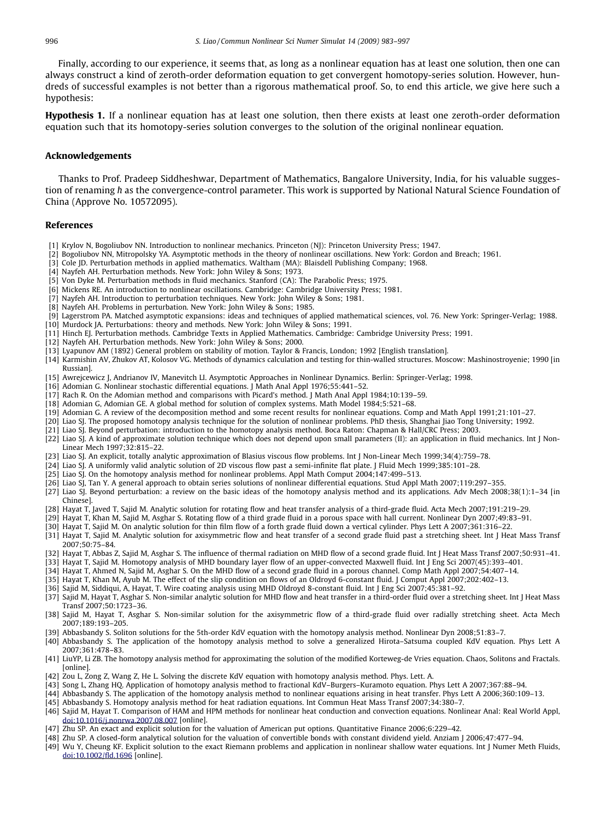<span id="page-13-0"></span>Finally, according to our experience, it seems that, as long as a nonlinear equation has at least one solution, then one can always construct a kind of zeroth-order deformation equation to get convergent homotopy-series solution. However, hundreds of successful examples is not better than a rigorous mathematical proof. So, to end this article, we give here such a hypothesis:

Hypothesis 1. If a nonlinear equation has at least one solution, then there exists at least one zeroth-order deformation equation such that its homotopy-series solution converges to the solution of the original nonlinear equation.

#### Acknowledgements

Thanks to Prof. Pradeep Siddheshwar, Department of Mathematics, Bangalore University, India, for his valuable suggestion of renaming  $\hbar$  as the convergence-control parameter. This work is supported by National Natural Science Foundation of China (Approve No. 10572095).

# References

- [1] Krylov N, Bogoliubov NN. Introduction to nonlinear mechanics. Princeton (NJ): Princeton University Press; 1947.
- [2] Bogoliubov NN, Mitropolsky YA. Asymptotic methods in the theory of nonlinear oscillations. New York: Gordon and Breach; 1961.
- [3] Cole JD. Perturbation methods in applied mathematics. Waltham (MA): Blaisdell Publishing Company; 1968.
- [4] Nayfeh AH. Perturbation methods. New York: John Wiley & Sons; 1973.
- [5] Von Dyke M. Perturbation methods in fluid mechanics. Stanford (CA): The Parabolic Press; 1975.
- [6] Mickens RE. An introduction to nonlinear oscillations. Cambridge: Cambridge University Press; 1981.
- [7] Nayfeh AH. Introduction to perturbation techniques. New York: John Wiley & Sons; 1981.
- [8] Nayfeh AH. Problems in perturbation. New York: John Wiley & Sons; 1985.
- [9] Lagerstrom PA. Matched asymptotic expansions: ideas and techniques of applied mathematical sciences, vol. 76. New York: Springer-Verlag; 1988.
- [10] Murdock JA. Perturbations: theory and methods. New York: John Wiley & Sons; 1991.
- [11] Hinch EJ. Perturbation methods. Cambridge Texts in Applied Mathematics. Cambridge: Cambridge University Press; 1991.
- [12] Nayfeh AH. Perturbation methods. New York: John Wiley & Sons; 2000.
- [13] Lyapunov AM (1892) General problem on stability of motion. Taylor & Francis, London; 1992 [English translation].
- [14] Karmishin AV, Zhukov AT, Kolosov VG. Methods of dynamics calculation and testing for thin-walled structures. Moscow: Mashinostroyenie; 1990 [in Russian].
- [15] Awrejcewicz J, Andrianov IV, Manevitch LI. Asymptotic Approaches in Nonlinear Dynamics. Berlin: Springer-Verlag; 1998.<br>[16] Adomian G. Nonlinear stochastic differential equations. J Math Anal Appl 1976;55:441–52.
- 
- [17] Rach R. On the Adomian method and comparisons with Picard's method. J Math Anal Appl 1984;10:139–59.
- [18] Adomian G, Adomian GE. A global method for solution of complex systems. Math Model 1984;5:521–68.
- [19] Adomian G. A review of the decomposition method and some recent results for nonlinear equations. Comp and Math Appl 1991;21:101–27.
- [20] Liao SJ. The proposed homotopy analysis technique for the solution of nonlinear problems. PhD thesis, Shanghai Jiao Tong University; 1992.
- [21] Liao SJ. Beyond perturbation: introduction to the homotopy analysis method. Boca Raton: Chapman & Hall/CRC Press; 2003.
- [22] Liao SJ. A kind of approximate solution technique which does not depend upon small parameters (II): an application in fluid mechanics. Int J Non-Linear Mech 1997;32:815–22.
- [23] Liao SJ. An explicit, totally analytic approximation of Blasius viscous flow problems. Int J Non-Linear Mech 1999;34(4):759–78.
- [24] Liao SJ. A uniformly valid analytic solution of 2D viscous flow past a semi-infinite flat plate. J Fluid Mech 1999;385:101–28.
- [25] Liao SJ. On the homotopy analysis method for nonlinear problems. Appl Math Comput 2004;147:499–513.
- [26] Liao SJ, Tan Y. A general approach to obtain series solutions of nonlinear differential equations. Stud Appl Math 2007;119:297–355.
- [27] Liao SJ. Beyond perturbation: a review on the basic ideas of the homotopy analysis method and its applications. Adv Mech 2008;38(1):1–34 [in Chinese].
- [28] Hayat T, Javed T, Sajid M. Analytic solution for rotating flow and heat transfer analysis of a third-grade fluid. Acta Mech 2007;191:219–29.
- [29] Hayat T, Khan M, Sajid M, Asghar S. Rotating flow of a third grade fluid in a porous space with hall current. Nonlinear Dyn 2007;49:83–91.
- [30] Hayat T, Sajid M. On analytic solution for thin film flow of a forth grade fluid down a vertical cylinder. Phys Lett A 2007;361:316–22.
- [31] Hayat T, Sajid M. Analytic solution for axisymmetric flow and heat transfer of a second grade fluid past a stretching sheet. Int J Heat Mass Transf 2007;50:75–84.
- [32] Hayat T, Abbas Z, Sajid M, Asghar S. The influence of thermal radiation on MHD flow of a second grade fluid. Int J Heat Mass Transf 2007;50:931–41.
- [33] Hayat T, Sajid M. Homotopy analysis of MHD boundary layer flow of an upper-convected Maxwell fluid. Int J Eng Sci 2007(45):393–401.
- [34] Hayat T, Ahmed N, Sajid M, Asghar S. On the MHD flow of a second grade fluid in a porous channel. Comp Math Appl 2007;54:407–14.
- [35] Hayat T, Khan M, Ayub M. The effect of the slip condition on flows of an Oldroyd 6-constant fluid. J Comput Appl 2007;202:402–13.
- [36] Sajid M, Siddiqui, A, Hayat, T. Wire coating analysis using MHD Oldroyd 8-constant fluid. Int J Eng Sci 2007;45:381–92.
- [37] Sajid M, Hayat T, Asghar S. Non-similar analytic solution for MHD flow and heat transfer in a third-order fluid over a stretching sheet. Int J Heat Mass Transf 2007;50:1723–36.
- [38] Sajid M, Hayat T, Asghar S. Non-similar solution for the axisymmetric flow of a third-grade fluid over radially stretching sheet. Acta Mech 2007;189:193–205.
- [39] Abbasbandy S. Soliton solutions for the 5th-order KdV equation with the homotopy analysis method. Nonlinear Dyn 2008;51:83–7.
- [40] Abbasbandy S. The application of the homotopy analysis method to solve a generalized Hirota–Satsuma coupled KdV equation. Phys Lett A 2007;361:478–83.
- [41] LiuYP, Li ZB. The homotopy analysis method for approximating the solution of the modified Korteweg-de Vries equation. Chaos, Solitons and Fractals. [online].
- [42] Zou L, Zong Z, Wang Z, He L. Solving the discrete KdV equation with homotopy analysis method. Phys. Lett. A.
- [43] Song L, Zhang HQ. Application of homotopy analysis method to fractional KdV–Burgers–Kuramoto equation. Phys Lett A 2007;367:88–94.
- [44] Abbasbandy S. The application of the homotopy analysis method to nonlinear equations arising in heat transfer. Phys Lett A 2006;360:109–13.
- [45] Abbasbandy S. Homotopy analysis method for heat radiation equations. Int Commun Heat Mass Transf 2007;34:380–7.
- [46] Sajid M, Hayat T. Comparison of HAM and HPM methods for nonlinear heat conduction and convection equations. Nonlinear Anal: Real World Appl, [doi:10.1016/j.nonrwa.2007.08.007](http://dx.doi.org/10.1016/j.nonrwa.2007.08.007) [online].
- [47] Zhu SP. An exact and explicit solution for the valuation of American put options. Quantitative Finance 2006;6:229–42.
- [48] Zhu SP. A closed-form analytical solution for the valuation of convertible bonds with constant dividend yield. Anziam J 2006;47:477–94.
- [49] Wu Y, Cheung KF. Explicit solution to the exact Riemann problems and application in nonlinear shallow water equations. Int J Numer Meth Fluids, [doi:10.1002/fld.1696](http://dx.doi.org/10.1002/fld.1696) [online].